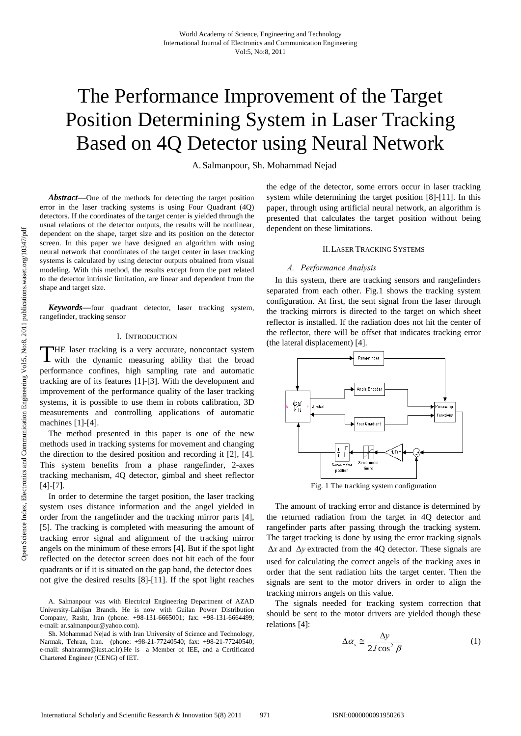# The Performance Improvement of the Target Position Determining System in Laser Tracking Based on 4Q Detector using Neural Network

A. Salmanpour, Sh. Mohammad Nejad

*Abstract***—**One of the methods for detecting the target position error in the laser tracking systems is using Four Quadrant (4Q) detectors. If the coordinates of the target center is yielded through the usual relations of the detector outputs, the results will be nonlinear, dependent on the shape, target size and its position on the detector screen. In this paper we have designed an algorithm with using neural network that coordinates of the target center in laser tracking systems is calculated by using detector outputs obtained from visual modeling. With this method, the results except from the part related to the detector intrinsic limitation, are linear and dependent from the shape and target size.

*Keywords***—**four quadrant detector, laser tracking system, rangefinder, tracking sensor

#### I. INTRODUCTION

HE laser tracking is a very accurate, noncontact system THE laser tracking is a very accurate, noncontact system with the dynamic measuring ability that the broad performance confines, high sampling rate and automatic tracking are of its features [1]-[3]. With the development and improvement of the performance quality of the laser tracking systems, it is possible to use them in robots calibration, 3D measurements and controlling applications of automatic machines [1]-[4].

The method presented in this paper is one of the new methods used in tracking systems for movement and changing the direction to the desired position and recording it [2], [4]. This system benefits from a phase rangefinder, 2-axes tracking mechanism, 4Q detector, gimbal and sheet reflector [4]-[7].

In order to determine the target position, the laser tracking system uses distance information and the angel yielded in order from the rangefinder and the tracking mirror parts [4], [5]. The tracking is completed with measuring the amount of tracking error signal and alignment of the tracking mirror angels on the minimum of these errors [4]. But if the spot light reflected on the detector screen does not hit each of the four quadrants or if it is situated on the gap band, the detector does not give the desired results [8]-[11]. If the spot light reaches

A. Salmanpour was with Electrical Engineering Department of AZAD University-Lahijan Branch. He is now with Guilan Power Distribution Company, Rasht, Iran (phone: +98-131-6665001; fax: +98-131-6664499; e-mail: ar.salmanpour@yahoo.com).

Sh. Mohammad Nejad is with Iran University of Science and Technology, Narmak, Tehran, Iran. (phone: +98-21-77240540; fax: +98-21-77240540; e-mail: shahramm@iust.ac.ir).He is a Member of IEE, and a Certificated Chartered Engineer (CENG) of IET.

the edge of the detector, some errors occur in laser tracking system while determining the target position [8]-[11]. In this paper, through using artificial neural network, an algorithm is presented that calculates the target position without being dependent on these limitations.

#### II.LASER TRACKING SYSTEMS

## *A. Performance Analysis*

In this system, there are tracking sensors and rangefinders separated from each other. Fig.1 shows the tracking system configuration. At first, the sent signal from the laser through the tracking mirrors is directed to the target on which sheet reflector is installed. If the radiation does not hit the center of the reflector, there will be offset that indicates tracking error (the lateral displacement) [4].



Fig. 1 The tracking system configuration

The amount of tracking error and distance is determined by the returned radiation from the target in 4Q detector and rangefinder parts after passing through the tracking system. The target tracking is done by using the error tracking signals Δ*x* and Δ*y* extracted from the 4Q detector. These signals are used for calculating the correct angels of the tracking axes in order that the sent radiation hits the target center. Then the signals are sent to the motor drivers in order to align the tracking mirrors angels on this value.

The signals needed for tracking system correction that should be sent to the motor drivers are yielded though these relations [4]:

$$
\Delta \alpha_s \approx \frac{\Delta y}{2l \cos^2 \beta} \tag{1}
$$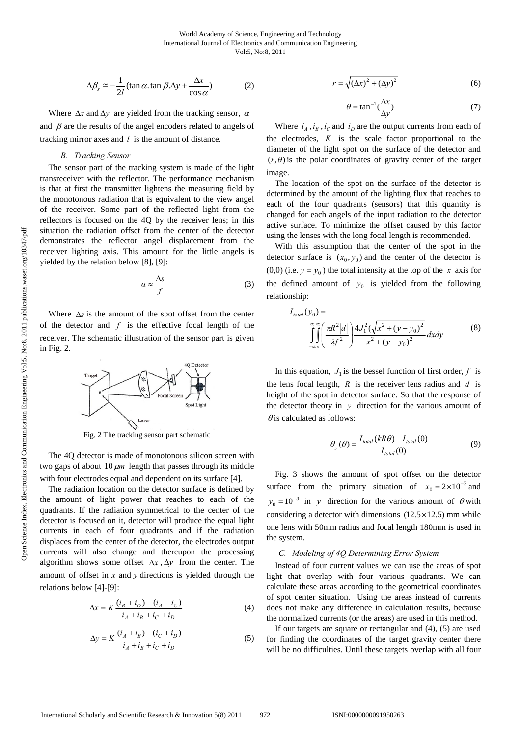$$
\Delta \beta_s \approx -\frac{1}{2l} (\tan \alpha \cdot \tan \beta \cdot \Delta y + \frac{\Delta x}{\cos \alpha})
$$
 (2)

Where  $\Delta x$  and  $\Delta y$  are yielded from the tracking sensor,  $\alpha$ and  $\beta$  are the results of the angel encoders related to angels of tracking mirror axes and *l* is the amount of distance.

## *B. Tracking Sensor*

The sensor part of the tracking system is made of the light transreceiver with the reflector. The performance mechanism is that at first the transmitter lightens the measuring field by the monotonous radiation that is equivalent to the view angel of the receiver. Some part of the reflected light from the reflectors is focused on the 4Q by the receiver lens; in this situation the radiation offset from the center of the detector demonstrates the reflector angel displacement from the receiver lighting axis. This amount for the little angels is yielded by the relation below [8], [9]:

$$
a \approx \frac{\Delta s}{f} \tag{3}
$$

Where Δ*s* is the amount of the spot offset from the center of the detector and *f* is the effective focal length of the receiver. The schematic illustration of the sensor part is given in Fig. 2.



Fig. 2 The tracking sensor part schematic

The 4Q detector is made of monotonous silicon screen with two gaps of about 10 <sup>μ</sup>*m* length that passes through its middle with four electrodes equal and dependent on its surface [4].

The radiation location on the detector surface is defined by the amount of light power that reaches to each of the quadrants. If the radiation symmetrical to the center of the detector is focused on it, detector will produce the equal light currents in each of four quadrants and if the radiation displaces from the center of the detector, the electrodes output currents will also change and thereupon the processing algorithm shows some offset Δ*x* , Δ*y* from the center. The amount of offset in *x* and *y* directions is yielded through the relations below [4]-[9]:

$$
\Delta x = K \frac{(i_B + i_D) - (i_A + i_C)}{i_A + i_B + i_C + i_D}
$$
(4)

$$
\Delta y = K \frac{(i_A + i_B) - (i_C + i_D)}{i_A + i_B + i_C + i_D}
$$
(5)

$$
r = \sqrt{(\Delta x)^2 + (\Delta y)^2}
$$
 (6)

$$
\theta = \tan^{-1}(\frac{\Delta x}{\Delta y})\tag{7}
$$

Where  $i_A$ ,  $i_B$ ,  $i_C$  and  $i_D$  are the output currents from each of the electrodes, *K* is the scale factor proportional to the diameter of the light spot on the surface of the detector and  $(r, \theta)$  is the polar coordinates of gravity center of the target image.

The location of the spot on the surface of the detector is determined by the amount of the lighting flux that reaches to each of the four quadrants (sensors) that this quantity is changed for each angels of the input radiation to the detector active surface. To minimize the offset caused by this factor using the lenses with the long focal length is recommended.

With this assumption that the center of the spot in the detector surface is  $(x_0, y_0)$  and the center of the detector is (0,0) (i.e.  $y = y_0$ ) the total intensity at the top of the *x* axis for the defined amount of  $y_0$  is yielded from the following relationship:

$$
I_{total}(y_0) = \int_{-\infty}^{\infty} \int_{-\infty}^{\infty} \left( \frac{\pi R^2 |d|}{\lambda f^2} \right) \frac{4J_1^2 (\sqrt{x^2 + (y - y_0)^2})}{x^2 + (y - y_0)^2} dxdy \tag{8}
$$

In this equation,  $J_1$  is the bessel function of first order,  $f$  is the lens focal length, *R* is the receiver lens radius and *d* is height of the spot in detector surface. So that the response of the detector theory in *y* direction for the various amount of  $\theta$  is calculated as follows:

$$
\theta_{y}(\theta) = \frac{I_{total}(kR\theta) - I_{total}(0)}{I_{total}(0)}
$$
\n(9)

Fig. 3 shows the amount of spot offset on the detector surface from the primary situation of  $x_0 = 2 \times 10^{-3}$  and  $y_0 = 10^{-3}$  in y direction for the various amount of  $\theta$  with considering a detector with dimensions  $(12.5 \times 12.5)$  mm while one lens with 50mm radius and focal length 180mm is used in the system.

# *C. Modeling of 4Q Determining Error System*

Instead of four current values we can use the areas of spot light that overlap with four various quadrants. We can calculate these areas according to the geometrical coordinates of spot center situation. Using the areas instead of currents does not make any difference in calculation results, because the normalized currents (or the areas) are used in this method.

If our targets are square or rectangular and (4), (5) are used for finding the coordinates of the target gravity center there will be no difficulties. Until these targets overlap with all four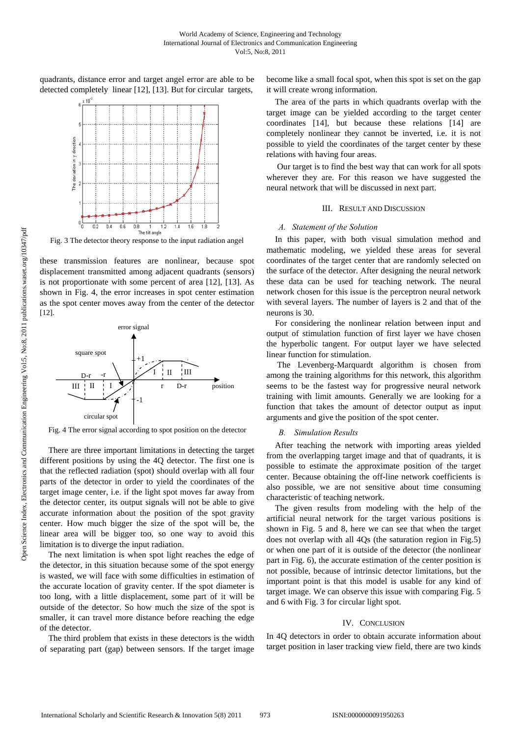quadrants, distance error and target angel error are able to be detected completely linear [12], [13]. But for circular targets,



Fig. 3 The detector theory response to the input radiation angel

these transmission features are nonlinear, because spot displacement transmitted among adjacent quadrants (sensors) is not proportionate with some percent of area [12], [13]. As shown in Fig. 4, the error increases in spot center estimation as the spot center moves away from the center of the detector [12].



Fig. 4 The error signal according to spot position on the detector

There are three important limitations in detecting the target different positions by using the 4Q detector. The first one is that the reflected radiation (spot) should overlap with all four parts of the detector in order to yield the coordinates of the target image center, i.e. if the light spot moves far away from the detector center, its output signals will not be able to give accurate information about the position of the spot gravity center. How much bigger the size of the spot will be, the linear area will be bigger too, so one way to avoid this limitation is to diverge the input radiation.

The next limitation is when spot light reaches the edge of the detector, in this situation because some of the spot energy is wasted, we will face with some difficulties in estimation of the accurate location of gravity center. If the spot diameter is too long, with a little displacement, some part of it will be outside of the detector. So how much the size of the spot is smaller, it can travel more distance before reaching the edge of the detector.

The third problem that exists in these detectors is the width of separating part (gap) between sensors. If the target image become like a small focal spot, when this spot is set on the gap it will create wrong information.

The area of the parts in which quadrants overlap with the target image can be yielded according to the target center coordinates [14], but because these relations [14] are completely nonlinear they cannot be inverted, i.e. it is not possible to yield the coordinates of the target center by these relations with having four areas.

 Our target is to find the best way that can work for all spots wherever they are. For this reason we have suggested the neural network that will be discussed in next part.

## III. RESULT AND DISCUSSION

#### *A. Statement of the Solution*

In this paper, with both visual simulation method and mathematic modeling, we yielded these areas for several coordinates of the target center that are randomly selected on the surface of the detector. After designing the neural network these data can be used for teaching network. The neural network chosen for this issue is the perceptron neural network with several layers. The number of layers is 2 and that of the neurons is 30.

For considering the nonlinear relation between input and output of stimulation function of first layer we have chosen the hyperbolic tangent. For output layer we have selected linear function for stimulation.

 The Levenberg-Marquardt algorithm is chosen from among the training algorithms for this network, this algorithm seems to be the fastest way for progressive neural network training with limit amounts. Generally we are looking for a function that takes the amount of detector output as input arguments and give the position of the spot center.

#### *B. Simulation Results*

After teaching the network with importing areas yielded from the overlapping target image and that of quadrants, it is possible to estimate the approximate position of the target center. Because obtaining the off-line network coefficients is also possible, we are not sensitive about time consuming characteristic of teaching network.

The given results from modeling with the help of the artificial neural network for the target various positions is shown in Fig. 5 and 8, here we can see that when the target does not overlap with all 4Qs (the saturation region in Fig.5) or when one part of it is outside of the detector (the nonlinear part in Fig. 6), the accurate estimation of the center position is not possible, because of intrinsic detector limitations, but the important point is that this model is usable for any kind of target image. We can observe this issue with comparing Fig. 5 and 6 with Fig. 3 for circular light spot.

## IV. CONCLUSION

In 4Q detectors in order to obtain accurate information about target position in laser tracking view field, there are two kinds